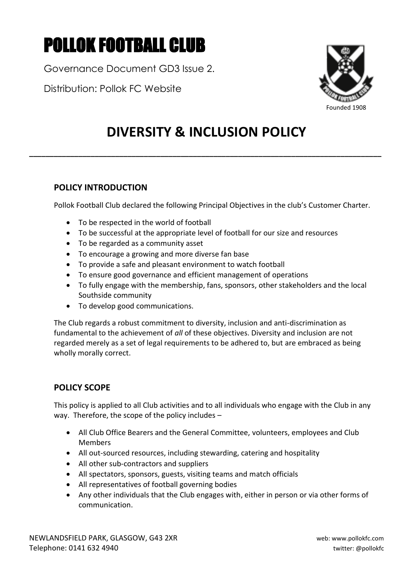# POLLOK FOOTBALL CLUB

Governance Document GD3 Issue 2.

Distribution: Pollok FC Website



# **DIVERSITY & INCLUSION POLICY**

**\_\_\_\_\_\_\_\_\_\_\_\_\_\_\_\_\_\_\_\_\_\_\_\_\_\_\_\_\_\_\_\_\_\_\_\_\_\_\_\_\_\_\_\_\_\_\_\_\_\_\_\_\_\_\_\_\_\_\_\_\_\_\_\_\_\_\_\_\_\_\_\_\_\_\_\_\_\_\_\_\_\_\_\_\_\_**

# **POLICY INTRODUCTION**

Pollok Football Club declared the following Principal Objectives in the club's Customer Charter.

- To be respected in the world of football
- To be successful at the appropriate level of football for our size and resources
- To be regarded as a community asset
- To encourage a growing and more diverse fan base
- To provide a safe and pleasant environment to watch football
- To ensure good governance and efficient management of operations
- To fully engage with the membership, fans, sponsors, other stakeholders and the local Southside community
- To develop good communications.

The Club regards a robust commitment to diversity, inclusion and anti-discrimination as fundamental to the achievement of *all* of these objectives. Diversity and inclusion are not regarded merely as a set of legal requirements to be adhered to, but are embraced as being wholly morally correct.

# **POLICY SCOPE**

This policy is applied to all Club activities and to all individuals who engage with the Club in any way. Therefore, the scope of the policy includes –

- All Club Office Bearers and the General Committee, volunteers, employees and Club Members
- All out-sourced resources, including stewarding, catering and hospitality
- All other sub-contractors and suppliers
- All spectators, sponsors, guests, visiting teams and match officials
- All representatives of football governing bodies
- Any other individuals that the Club engages with, either in person or via other forms of communication.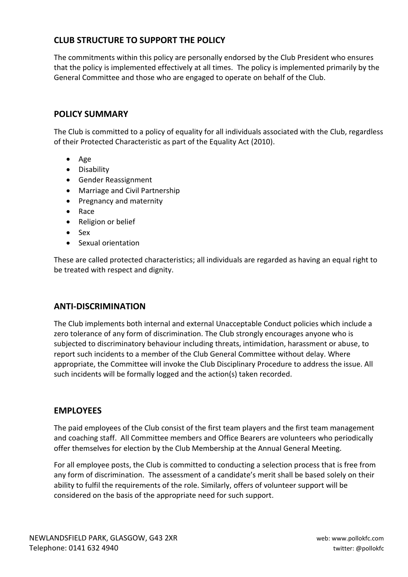## **CLUB STRUCTURE TO SUPPORT THE POLICY**

The commitments within this policy are personally endorsed by the Club President who ensures that the policy is implemented effectively at all times. The policy is implemented primarily by the General Committee and those who are engaged to operate on behalf of the Club.

### **POLICY SUMMARY**

The Club is committed to a policy of equality for all individuals associated with the Club, regardless of their Protected Characteristic as part of the Equality Act (2010).

- Age
- Disability
- Gender Reassignment
- Marriage and Civil Partnership
- Pregnancy and maternity
- Race
- Religion or belief
- Sex
- Sexual orientation

These are called protected characteristics; all individuals are regarded as having an equal right to be treated with respect and dignity.

#### **ANTI-DISCRIMINATION**

The Club implements both internal and external Unacceptable Conduct policies which include a zero tolerance of any form of discrimination. The Club strongly encourages anyone who is subjected to discriminatory behaviour including threats, intimidation, harassment or abuse, to report such incidents to a member of the Club General Committee without delay. Where appropriate, the Committee will invoke the Club Disciplinary Procedure to address the issue. All such incidents will be formally logged and the action(s) taken recorded.

#### **EMPLOYEES**

The paid employees of the Club consist of the first team players and the first team management and coaching staff. All Committee members and Office Bearers are volunteers who periodically offer themselves for election by the Club Membership at the Annual General Meeting.

For all employee posts, the Club is committed to conducting a selection process that is free from any form of discrimination. The assessment of a candidate's merit shall be based solely on their ability to fulfil the requirements of the role. Similarly, offers of volunteer support will be considered on the basis of the appropriate need for such support.